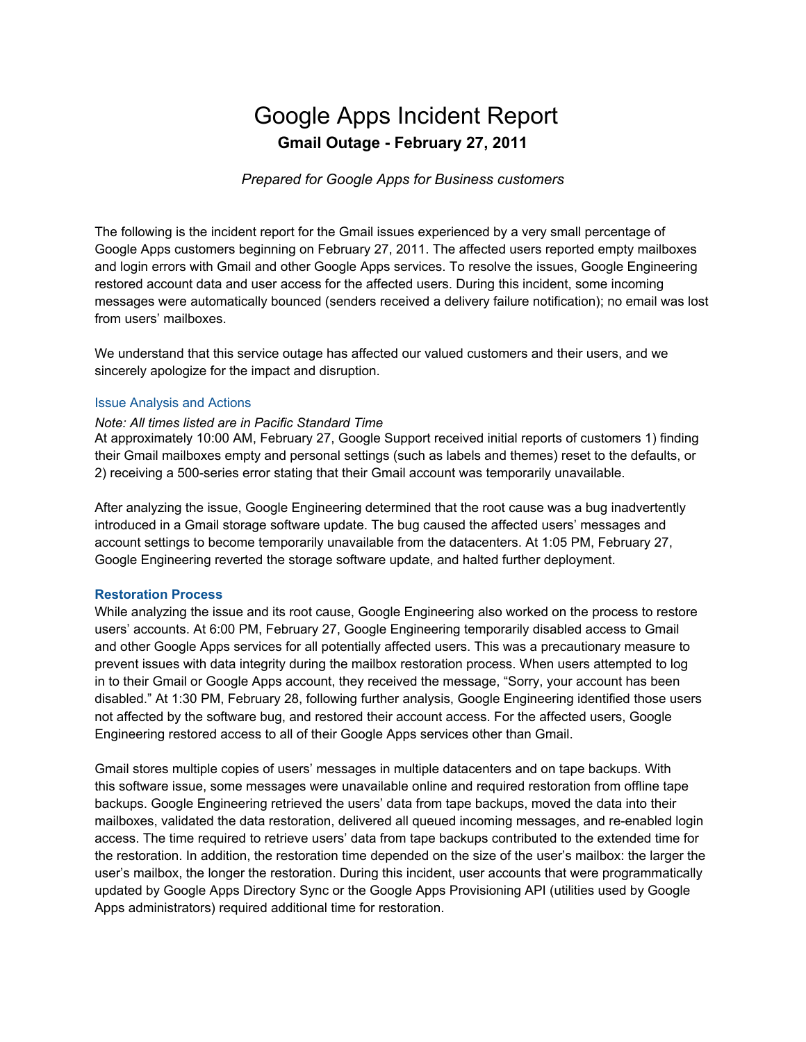# Google Apps Incident Report **Gmail Outage - February 27, 2011**

# *Prepared for Google Apps for Business customers*

The following is the incident report for the Gmail issues experienced by a very small percentage of Google Apps customers beginning on February 27, 2011. The affected users reported empty mailboxes and login errors with Gmail and other Google Apps services. To resolve the issues, Google Engineering restored account data and user access for the affected users. During this incident, some incoming messages were automatically bounced (senders received a delivery failure notification); no email was lost from users' mailboxes.

We understand that this service outage has affected our valued customers and their users, and we sincerely apologize for the impact and disruption.

# Issue Analysis and Actions

#### *Note: All times listed are in Pacific Standard Time*

At approximately 10:00 AM, February 27, Google Support received initial reports of customers 1) finding their Gmail mailboxes empty and personal settings (such as labels and themes) reset to the defaults, or 2) receiving a 500-series error stating that their Gmail account was temporarily unavailable.

After analyzing the issue, Google Engineering determined that the root cause was a bug inadvertently introduced in a Gmail storage software update. The bug caused the affected users' messages and account settings to become temporarily unavailable from the datacenters. At 1:05 PM, February 27, Google Engineering reverted the storage software update, and halted further deployment.

# **Restoration Process**

While analyzing the issue and its root cause, Google Engineering also worked on the process to restore users' accounts. At 6:00 PM, February 27, Google Engineering temporarily disabled access to Gmail and other Google Apps services for all potentially affected users. This was a precautionary measure to prevent issues with data integrity during the mailbox restoration process. When users attempted to log in to their Gmail or Google Apps account, they received the message, "Sorry, your account has been disabled." At 1:30 PM, February 28, following further analysis, Google Engineering identified those users not affected by the software bug, and restored their account access. For the affected users, Google Engineering restored access to all of their Google Apps services other than Gmail.

Gmail stores multiple copies of users' messages in multiple datacenters and on tape backups. With this software issue, some messages were unavailable online and required restoration from offline tape backups. Google Engineering retrieved the users' data from tape backups, moved the data into their mailboxes, validated the data restoration, delivered all queued incoming messages, and re-enabled login access. The time required to retrieve users' data from tape backups contributed to the extended time for the restoration. In addition, the restoration time depended on the size of the user's mailbox: the larger the user's mailbox, the longer the restoration. During this incident, user accounts that were programmatically updated by Google Apps Directory Sync or the Google Apps Provisioning API (utilities used by Google Apps administrators) required additional time for restoration.